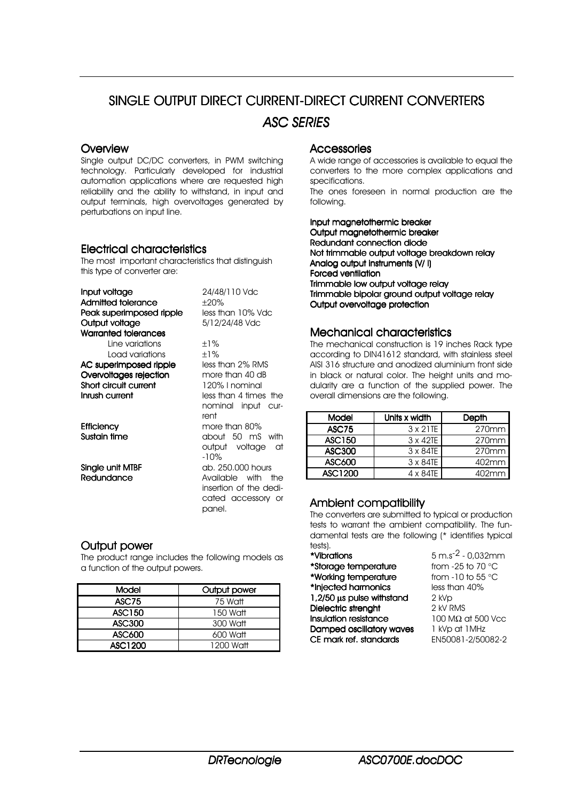# SINGLE OUTPUT DIRECT CURRENT-DIRECT CURRENT CONVERTERS *ASC SERIES*

#### **Overview**

Single output DC/DC converters, in PWM switching technology. Particularly developed for industrial automation applications where are requested high reliability and the ability to withstand, in input and output terminals, high overvoltages generated by perturbations on input line.

#### **Electrical characteristics**

The most important characteristics that distinguish this type of converter are:

| Input voltage                              | 24/48/110 Vdc          |  |  |  |  |  |
|--------------------------------------------|------------------------|--|--|--|--|--|
| Admitted tolerance                         | ±20%                   |  |  |  |  |  |
| Peak superimposed ripple                   | less than 10% Vdc      |  |  |  |  |  |
| Output voltage                             | 5/12/24/48 Vdc         |  |  |  |  |  |
| Warranted tolerances                       |                        |  |  |  |  |  |
| Line variations                            | $+1\%$                 |  |  |  |  |  |
| Load variations                            | $±1\%$                 |  |  |  |  |  |
| less than 2% RMS<br>AC superimposed ripple |                        |  |  |  |  |  |
| Overvoltages rejection                     | more than 40 dB        |  |  |  |  |  |
| Short circuit current                      | 120% I nominal         |  |  |  |  |  |
| Inrush current                             | less than 4 times the  |  |  |  |  |  |
|                                            | nominal input cur-     |  |  |  |  |  |
|                                            | rent                   |  |  |  |  |  |
| <b>Efficiency</b>                          | more than 80%          |  |  |  |  |  |
| Sustain time                               | about 50 mS with       |  |  |  |  |  |
|                                            | output voltage<br>at   |  |  |  |  |  |
|                                            | -10%                   |  |  |  |  |  |
| Single unit MTBF                           | ab, 250,000 hours      |  |  |  |  |  |
| Redundance                                 | Available with<br>the  |  |  |  |  |  |
|                                            | insertion of the dedi- |  |  |  |  |  |
|                                            | cated accessory or     |  |  |  |  |  |
|                                            | panel.                 |  |  |  |  |  |

## **Output power**

The product range includes the following models as a function of the output powers.

| Model   | Output power |  |  |  |  |  |
|---------|--------------|--|--|--|--|--|
| ASC75   | 75 Watt      |  |  |  |  |  |
| ASC150  | 150 Watt     |  |  |  |  |  |
| ASC300  | 300 Watt     |  |  |  |  |  |
| ASC600  | 600 Watt     |  |  |  |  |  |
| ASC1200 | 1200 Watt    |  |  |  |  |  |

#### Accessories Accessories

A wide range of accessories is available to equal the converters to the more complex applications and specifications.

The ones foreseen in normal production are the following.

Input magnetothermic breaker Output maanetothermic breaker Redundant connection diode Not trimmable output voltage breakdown relay Analog output instruments  $(V / I)$ Forced ventilation Trimmable low output voltage relay Trimmable bipolar ground output voltage relay Output overvoltage protection

#### Mechanical characteristics

The mechanical construction is 19 inches Rack type according to DIN41612 standard, with stainless steel AISI 316 structure and anodized aluminium front side in black or natural color. The height units and modularity are a function of the supplied power. The overall dimensions are the following.

| Model         | Units x width    | Depth    |  |  |  |
|---------------|------------------|----------|--|--|--|
| <b>ASC75</b>  | $3 \times 21$ TE | 270mm    |  |  |  |
| <b>ASC150</b> | 3 x 42TE         | 270mm    |  |  |  |
| <b>ASC300</b> | $3 \times 84$ TE | $270$ mm |  |  |  |
| ASC600        | 3 x 84TE         | 402mm    |  |  |  |
| ASC1200       | $4 \times 84$ TE | 402mm    |  |  |  |

## Ambient compatibility

The converters are submitted to typical or production tests to warrant the ambient compatibility. The fundamental tests are the following (\* identifies typical

#### tests).<br>**\*Vibrations** \*<mark>Storage temperature</mark> from -25 to 70 °C<br>\*Working temperature from -10 to 55 °C \*Working temperature \*Injected harmonics less than 40% **1,2/50**  $\mu$ **s pulse withstand**  $2 \kappa VP$ <br>**Dielectric strenaht**  $2 \kappa V$  RMS **Dielectric strenght**  $2$  kV RMS<br> **Insulation resistance**  $100$  M $\Omega$  at 500 Vcc **Insulation resistance** 100 M $Ω$  at 500 **Damped oscillatory waves** 1 kVp at 1 MHz Damped oscillatory waves 1 kVp at 1 MHz<br>CE mark ref. standards EN50081-2/50082-2 CE mark ref. standards

 $5 \text{ m.s}^2 - 0.032 \text{ mm}$